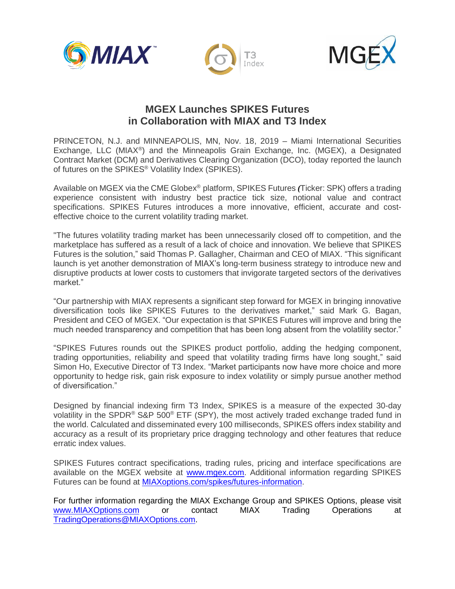





# **MGEX Launches SPIKES Futures in Collaboration with MIAX and T3 Index**

PRINCETON, N.J. and MINNEAPOLIS, MN, Nov. 18, 2019 – Miami International Securities Exchange, LLC (MIAX<sup>®</sup>) and the Minneapolis Grain Exchange, Inc. (MGEX), a Designated Contract Market (DCM) and Derivatives Clearing Organization (DCO), today reported the launch of futures on the SPIKES® Volatility Index (SPIKES).

Available on MGEX via the CME Globex® platform, SPIKES Futures *(*Ticker: SPK) offers a trading experience consistent with industry best practice tick size, notional value and contract specifications. SPIKES Futures introduces a more innovative, efficient, accurate and costeffective choice to the current volatility trading market.

"The futures volatility trading market has been unnecessarily closed off to competition, and the marketplace has suffered as a result of a lack of choice and innovation. We believe that SPIKES Futures is the solution," said Thomas P. Gallagher, Chairman and CEO of MIAX. "This significant launch is yet another demonstration of MIAX's long-term business strategy to introduce new and disruptive products at lower costs to customers that invigorate targeted sectors of the derivatives market."

"Our partnership with MIAX represents a significant step forward for MGEX in bringing innovative diversification tools like SPIKES Futures to the derivatives market," said Mark G. Bagan, President and CEO of MGEX. "Our expectation is that SPIKES Futures will improve and bring the much needed transparency and competition that has been long absent from the volatility sector."

"SPIKES Futures rounds out the SPIKES product portfolio, adding the hedging component, trading opportunities, reliability and speed that volatility trading firms have long sought," said Simon Ho, Executive Director of T3 Index. "Market participants now have more choice and more opportunity to hedge risk, gain risk exposure to index volatility or simply pursue another method of diversification."

Designed by financial indexing firm T3 Index, SPIKES is a measure of the expected 30-day volatility in the SPDR® S&P 500® ETF (SPY), the most actively traded exchange traded fund in the world. Calculated and disseminated every 100 milliseconds, SPIKES offers index stability and accuracy as a result of its proprietary price dragging technology and other features that reduce erratic index values.

SPIKES Futures contract specifications, trading rules, pricing and interface specifications are available on the MGEX website at [www.mgex.com.](http://www.mgex.com/) Additional information regarding SPIKES Futures can be found at [MIAXoptions.com/spikes/futures-information.](https://www.miaxoptions.com/spikes/futures-information)

For further information regarding the MIAX Exchange Group and SPIKES Options, please visit [www.MIAXOptions.com](http://www.miaxoptions.com/) or contact MIAX Trading Operations at [TradingOperations@MIAXOptions.com.](mailto:TradingOperations@MIAXOptions.com)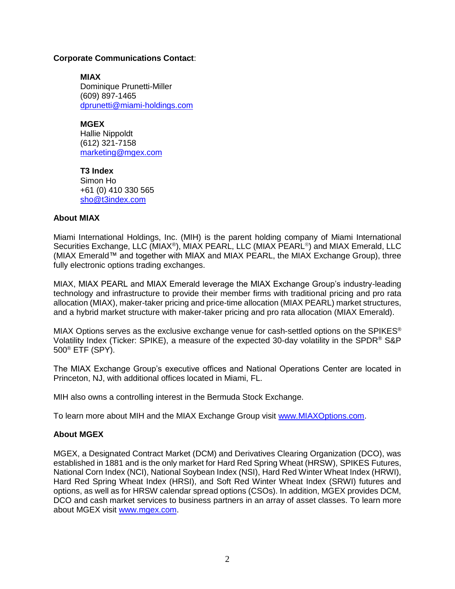## **Corporate Communications Contact**:

**MIAX** Dominique Prunetti-Miller (609) 897-1465 [dprunetti@miami-holdings.com](mailto:dprunetti@miami-holdings.com)

**MGEX**  Hallie Nippoldt (612) 321-7158 [marketing@mgex.com](mailto:marketing@mgex.com)

**T3 Index**  Simon Ho +61 (0) 410 330 565 sho@t3index.com

## **About MIAX**

Miami International Holdings, Inc. (MIH) is the parent holding company of Miami International Securities Exchange, LLC (MIAX®), MIAX PEARL, LLC (MIAX PEARL®) and MIAX Emerald, LLC (MIAX Emerald™ and together with MIAX and MIAX PEARL, the MIAX Exchange Group), three fully electronic options trading exchanges.

MIAX, MIAX PEARL and MIAX Emerald leverage the MIAX Exchange Group's industry-leading technology and infrastructure to provide their member firms with traditional pricing and pro rata allocation (MIAX), maker-taker pricing and price-time allocation (MIAX PEARL) market structures, and a hybrid market structure with maker-taker pricing and pro rata allocation (MIAX Emerald).

MIAX Options serves as the exclusive exchange venue for cash-settled options on the SPIKES® Volatility Index (Ticker: SPIKE), a measure of the expected 30-day volatility in the SPDR® S&P 500® ETF (SPY).

The MIAX Exchange Group's executive offices and National Operations Center are located in Princeton, NJ, with additional offices located in Miami, FL.

MIH also owns a controlling interest in the Bermuda Stock Exchange.

To learn more about MIH and the MIAX Exchange Group visit [www.MIAXOptions.com.](http://www.miaxoptions.com/)

## **About MGEX**

MGEX, a Designated Contract Market (DCM) and Derivatives Clearing Organization (DCO), was established in 1881 and is the only market for Hard Red Spring Wheat (HRSW), SPIKES Futures, National Corn Index (NCI), National Soybean Index (NSI), Hard Red Winter Wheat Index (HRWI), Hard Red Spring Wheat Index (HRSI), and Soft Red Winter Wheat Index (SRWI) futures and options, as well as for HRSW calendar spread options (CSOs). In addition, MGEX provides DCM, DCO and cash market services to business partners in an array of asset classes. To learn more about MGEX visit [www.mgex.com.](http://www.mgex.com/)